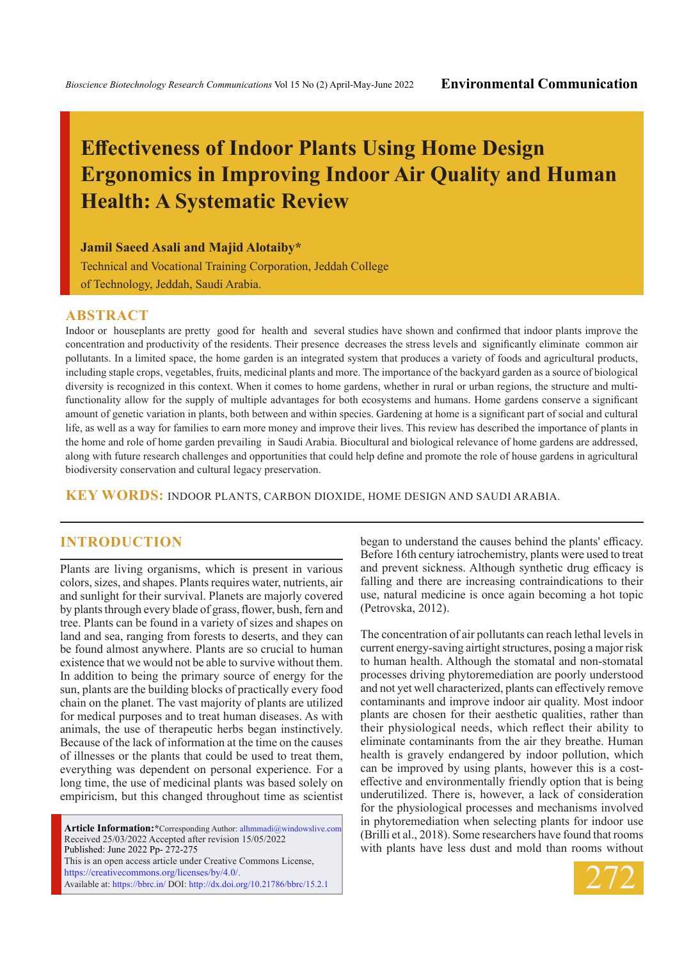# **Effectiveness of Indoor Plants Using Home Design Ergonomics in Improving Indoor Air Quality and Human Health: A Systematic Review**

**Jamil Saeed Asali and Majid Alotaiby\***

Technical and Vocational Training Corporation, Jeddah College of Technology, Jeddah, Saudi Arabia.

## **ABSTRACT**

Indoor or houseplants are pretty good for health and several studies have shown and confirmed that indoor plants improve the concentration and productivity of the residents. Their presence decreases the stress levels and significantly eliminate common air pollutants. In a limited space, the home garden is an integrated system that produces a variety of foods and agricultural products, including staple crops, vegetables, fruits, medicinal plants and more. The importance of the backyard garden as a source of biological diversity is recognized in this context. When it comes to home gardens, whether in rural or urban regions, the structure and multifunctionality allow for the supply of multiple advantages for both ecosystems and humans. Home gardens conserve a significant amount of genetic variation in plants, both between and within species. Gardening at home is a significant part of social and cultural life, as well as a way for families to earn more money and improve their lives. This review has described the importance of plants in the home and role of home garden prevailing in Saudi Arabia. Biocultural and biological relevance of home gardens are addressed, along with future research challenges and opportunities that could help define and promote the role of house gardens in agricultural biodiversity conservation and cultural legacy preservation.

**KEY WORDS:** Indoor plants, Carbon dioxide, home design and Saudi Arabia.

# **INTRODUCTION**

Plants are living organisms, which is present in various colors, sizes, and shapes. Plants requires water, nutrients, air and sunlight for their survival. Planets are majorly covered by plants through every blade of grass, flower, bush, fern and tree. Plants can be found in a variety of sizes and shapes on land and sea, ranging from forests to deserts, and they can be found almost anywhere. Plants are so crucial to human existence that we would not be able to survive without them. In addition to being the primary source of energy for the sun, plants are the building blocks of practically every food chain on the planet. The vast majority of plants are utilized for medical purposes and to treat human diseases. As with animals, the use of therapeutic herbs began instinctively. Because of the lack of information at the time on the causes of illnesses or the plants that could be used to treat them, everything was dependent on personal experience. For a long time, the use of medicinal plants was based solely on empiricism, but this changed throughout time as scientist

**Article Information:\***Corresponding Author: alhmmadi@windowslive.com Received 25/03/2022 Accepted after revision 15/05/2022 Published: June 2022 Pp- 272-275 This is an open access article under Creative Commons License, https://creativecommons.org/licenses/by/4.0/. Available at: https://bbrc.in/ DOI: http://dx.doi.org/10.21786/bbrc/15.2.1

began to understand the causes behind the plants' efficacy. Before 16th century iatrochemistry, plants were used to treat and prevent sickness. Although synthetic drug efficacy is falling and there are increasing contraindications to their use, natural medicine is once again becoming a hot topic (Petrovska, 2012).

The concentration of air pollutants can reach lethal levels in current energy-saving airtight structures, posing a major risk to human health. Although the stomatal and non-stomatal processes driving phytoremediation are poorly understood and not yet well characterized, plants can effectively remove contaminants and improve indoor air quality. Most indoor plants are chosen for their aesthetic qualities, rather than their physiological needs, which reflect their ability to eliminate contaminants from the air they breathe. Human health is gravely endangered by indoor pollution, which can be improved by using plants, however this is a costeffective and environmentally friendly option that is being underutilized. There is, however, a lack of consideration for the physiological processes and mechanisms involved in phytoremediation when selecting plants for indoor use (Brilli et al., 2018). Some researchers have found that rooms with plants have less dust and mold than rooms without

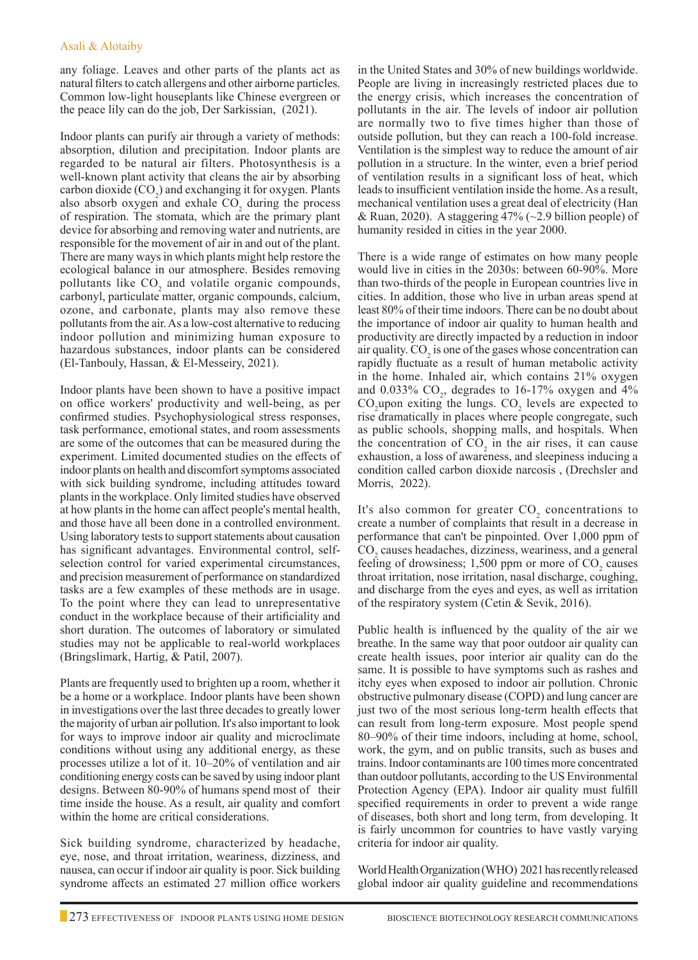any foliage. Leaves and other parts of the plants act as natural filters to catch allergens and other airborne particles. Common low-light houseplants like Chinese evergreen or the peace lily can do the job, Der Sarkissian, (2021).

Indoor plants can purify air through a variety of methods: absorption, dilution and precipitation. Indoor plants are regarded to be natural air filters. Photosynthesis is a well-known plant activity that cleans the air by absorbing carbon dioxide  $(CO<sub>2</sub>)$  and exchanging it for oxygen. Plants also absorb oxygen and exhale  $CO<sub>2</sub>$  during the process of respiration. The stomata, which are the primary plant device for absorbing and removing water and nutrients, are responsible for the movement of air in and out of the plant. There are many ways in which plants might help restore the ecological balance in our atmosphere. Besides removing pollutants like  $CO<sub>2</sub>$  and volatile organic compounds, carbonyl, particulate matter, organic compounds, calcium, ozone, and carbonate, plants may also remove these pollutants from the air. As a low-cost alternative to reducing indoor pollution and minimizing human exposure to hazardous substances, indoor plants can be considered (El-Tanbouly, Hassan, & El-Messeiry, 2021).

Indoor plants have been shown to have a positive impact on office workers' productivity and well-being, as per confirmed studies. Psychophysiological stress responses, task performance, emotional states, and room assessments are some of the outcomes that can be measured during the experiment. Limited documented studies on the effects of indoor plants on health and discomfort symptoms associated with sick building syndrome, including attitudes toward plants in the workplace. Only limited studies have observed at how plants in the home can affect people's mental health, and those have all been done in a controlled environment. Using laboratory tests to support statements about causation has significant advantages. Environmental control, selfselection control for varied experimental circumstances, and precision measurement of performance on standardized tasks are a few examples of these methods are in usage. To the point where they can lead to unrepresentative conduct in the workplace because of their artificiality and short duration. The outcomes of laboratory or simulated studies may not be applicable to real-world workplaces (Bringslimark, Hartig, & Patil, 2007).

Plants are frequently used to brighten up a room, whether it be a home or a workplace. Indoor plants have been shown in investigations over the last three decades to greatly lower the majority of urban air pollution. It's also important to look for ways to improve indoor air quality and microclimate conditions without using any additional energy, as these processes utilize a lot of it. 10–20% of ventilation and air conditioning energy costs can be saved by using indoor plant designs. Between 80-90% of humans spend most of their time inside the house. As a result, air quality and comfort within the home are critical considerations.

Sick building syndrome, characterized by headache, eye, nose, and throat irritation, weariness, dizziness, and nausea, can occur if indoor air quality is poor. Sick building syndrome affects an estimated 27 million office workers

in the United States and 30% of new buildings worldwide. People are living in increasingly restricted places due to the energy crisis, which increases the concentration of pollutants in the air. The levels of indoor air pollution are normally two to five times higher than those of outside pollution, but they can reach a 100-fold increase. Ventilation is the simplest way to reduce the amount of air pollution in a structure. In the winter, even a brief period of ventilation results in a significant loss of heat, which leads to insufficient ventilation inside the home. As a result, mechanical ventilation uses a great deal of electricity (Han & Ruan, 2020). A staggering  $47\%$  ( $\sim$ 2.9 billion people) of humanity resided in cities in the year 2000.

There is a wide range of estimates on how many people would live in cities in the 2030s: between 60-90%. More than two-thirds of the people in European countries live in cities. In addition, those who live in urban areas spend at least 80% of their time indoors. There can be no doubt about the importance of indoor air quality to human health and productivity are directly impacted by a reduction in indoor air quality.  $\mathrm{CO}_2$  is one of the gases whose concentration can rapidly fluctuate as a result of human metabolic activity in the home. Inhaled air, which contains 21% oxygen and 0.033%  $CO<sub>2</sub>$ , degrades to 16-17% oxygen and 4%  $CO_2$ upon exiting the lungs.  $CO_2$  levels are expected to rise dramatically in places where people congregate, such as public schools, shopping malls, and hospitals. When the concentration of  $CO<sub>2</sub>$  in the air rises, it can cause exhaustion, a loss of awareness, and sleepiness inducing a condition called carbon dioxide narcosis , (Drechsler and Morris, 2022).

It's also common for greater  $CO_2$  concentrations to create a number of complaints that result in a decrease in performance that can't be pinpointed. Over 1,000 ppm of CO<sub>2</sub> causes headaches, dizziness, weariness, and a general feeling of drowsiness;  $1,500$  ppm or more of  $CO<sub>2</sub>$  causes throat irritation, nose irritation, nasal discharge, coughing, and discharge from the eyes and eyes, as well as irritation of the respiratory system (Cetin & Sevik, 2016).

Public health is influenced by the quality of the air we breathe. In the same way that poor outdoor air quality can create health issues, poor interior air quality can do the same. It is possible to have symptoms such as rashes and itchy eyes when exposed to indoor air pollution. Chronic obstructive pulmonary disease (COPD) and lung cancer are just two of the most serious long-term health effects that can result from long-term exposure. Most people spend 80–90% of their time indoors, including at home, school, work, the gym, and on public transits, such as buses and trains. Indoor contaminants are 100 times more concentrated than outdoor pollutants, according to the US Environmental Protection Agency (EPA). Indoor air quality must fulfill specified requirements in order to prevent a wide range of diseases, both short and long term, from developing. It is fairly uncommon for countries to have vastly varying criteria for indoor air quality.

World Health Organization (WHO) 2021 has recently released global indoor air quality guideline and recommendations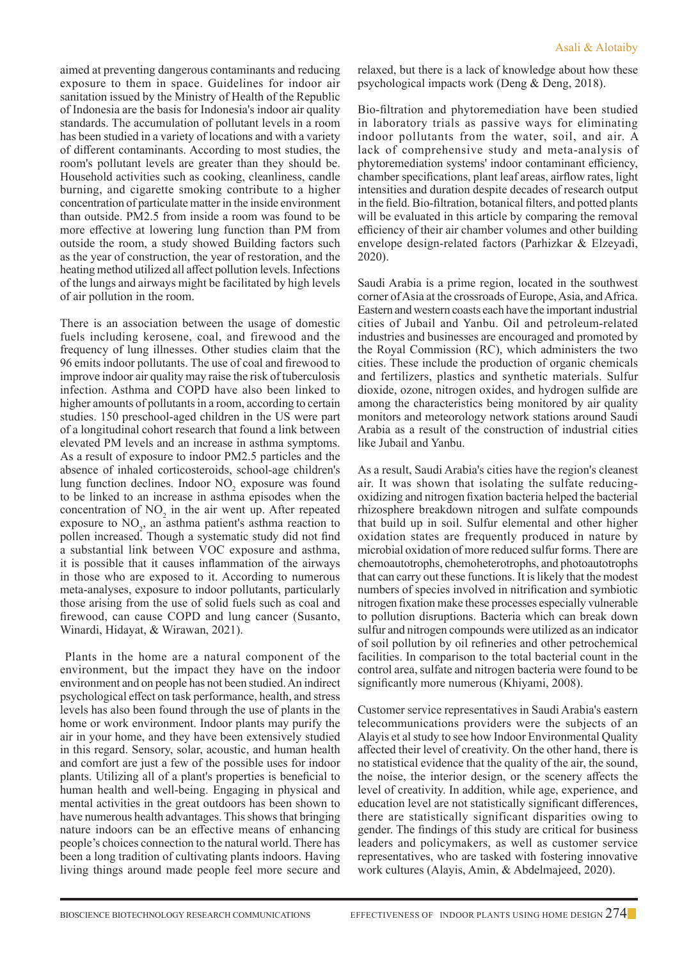aimed at preventing dangerous contaminants and reducing exposure to them in space. Guidelines for indoor air sanitation issued by the Ministry of Health of the Republic of Indonesia are the basis for Indonesia's indoor air quality standards. The accumulation of pollutant levels in a room has been studied in a variety of locations and with a variety of different contaminants. According to most studies, the room's pollutant levels are greater than they should be. Household activities such as cooking, cleanliness, candle burning, and cigarette smoking contribute to a higher concentration of particulate matter in the inside environment than outside. PM2.5 from inside a room was found to be more effective at lowering lung function than PM from outside the room, a study showed Building factors such as the year of construction, the year of restoration, and the heating method utilized all affect pollution levels. Infections of the lungs and airways might be facilitated by high levels of air pollution in the room.

There is an association between the usage of domestic fuels including kerosene, coal, and firewood and the frequency of lung illnesses. Other studies claim that the 96 emits indoor pollutants. The use of coal and firewood to improve indoor air quality may raise the risk of tuberculosis infection. Asthma and COPD have also been linked to higher amounts of pollutants in a room, according to certain studies. 150 preschool-aged children in the US were part of a longitudinal cohort research that found a link between elevated PM levels and an increase in asthma symptoms. As a result of exposure to indoor PM2.5 particles and the absence of inhaled corticosteroids, school-age children's lung function declines. Indoor  $NO<sub>2</sub>$  exposure was found to be linked to an increase in asthma episodes when the concentration of  $NO<sub>2</sub>$  in the air went up. After repeated exposure to  $NO<sub>2</sub>$ , an asthma patient's asthma reaction to pollen increased. Though a systematic study did not find a substantial link between VOC exposure and asthma, it is possible that it causes inflammation of the airways in those who are exposed to it. According to numerous meta-analyses, exposure to indoor pollutants, particularly those arising from the use of solid fuels such as coal and firewood, can cause COPD and lung cancer (Susanto, Winardi, Hidayat, & Wirawan, 2021).

Plants in the home are a natural component of the environment, but the impact they have on the indoor environment and on people has not been studied. An indirect psychological effect on task performance, health, and stress levels has also been found through the use of plants in the home or work environment. Indoor plants may purify the air in your home, and they have been extensively studied in this regard. Sensory, solar, acoustic, and human health and comfort are just a few of the possible uses for indoor plants. Utilizing all of a plant's properties is beneficial to human health and well-being. Engaging in physical and mental activities in the great outdoors has been shown to have numerous health advantages. This shows that bringing nature indoors can be an effective means of enhancing people's choices connection to the natural world. There has been a long tradition of cultivating plants indoors. Having living things around made people feel more secure and relaxed, but there is a lack of knowledge about how these psychological impacts work (Deng & Deng, 2018).

Bio-filtration and phytoremediation have been studied in laboratory trials as passive ways for eliminating indoor pollutants from the water, soil, and air. A lack of comprehensive study and meta-analysis of phytoremediation systems' indoor contaminant efficiency, chamber specifications, plant leaf areas, airflow rates, light intensities and duration despite decades of research output in the field. Bio-filtration, botanical filters, and potted plants will be evaluated in this article by comparing the removal efficiency of their air chamber volumes and other building envelope design-related factors (Parhizkar & Elzeyadi, 2020).

Saudi Arabia is a prime region, located in the southwest corner of Asia at the crossroads of Europe, Asia, and Africa. Eastern and western coasts each have the important industrial cities of Jubail and Yanbu. Oil and petroleum-related industries and businesses are encouraged and promoted by the Royal Commission (RC), which administers the two cities. These include the production of organic chemicals and fertilizers, plastics and synthetic materials. Sulfur dioxide, ozone, nitrogen oxides, and hydrogen sulfide are among the characteristics being monitored by air quality monitors and meteorology network stations around Saudi Arabia as a result of the construction of industrial cities like Jubail and Yanbu.

As a result, Saudi Arabia's cities have the region's cleanest air. It was shown that isolating the sulfate reducingoxidizing and nitrogen fixation bacteria helped the bacterial rhizosphere breakdown nitrogen and sulfate compounds that build up in soil. Sulfur elemental and other higher oxidation states are frequently produced in nature by microbial oxidation of more reduced sulfur forms. There are chemoautotrophs, chemoheterotrophs, and photoautotrophs that can carry out these functions. It is likely that the modest numbers of species involved in nitrification and symbiotic nitrogen fixation make these processes especially vulnerable to pollution disruptions. Bacteria which can break down sulfur and nitrogen compounds were utilized as an indicator of soil pollution by oil refineries and other petrochemical facilities. In comparison to the total bacterial count in the control area, sulfate and nitrogen bacteria were found to be significantly more numerous (Khiyami, 2008).

Customer service representatives in Saudi Arabia's eastern telecommunications providers were the subjects of an Alayis et al study to see how Indoor Environmental Quality affected their level of creativity. On the other hand, there is no statistical evidence that the quality of the air, the sound, the noise, the interior design, or the scenery affects the level of creativity. In addition, while age, experience, and education level are not statistically significant differences, there are statistically significant disparities owing to gender. The findings of this study are critical for business leaders and policymakers, as well as customer service representatives, who are tasked with fostering innovative work cultures (Alayis, Amin, & Abdelmajeed, 2020).